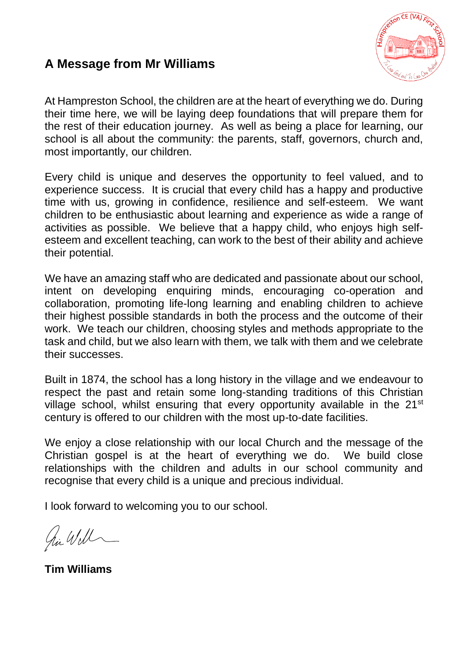#### **A Message from Mr Williams**



At Hampreston School, the children are at the heart of everything we do. During their time here, we will be laying deep foundations that will prepare them for the rest of their education journey. As well as being a place for learning, our school is all about the community: the parents, staff, governors, church and, most importantly, our children.

Every child is unique and deserves the opportunity to feel valued, and to experience success. It is crucial that every child has a happy and productive time with us, growing in confidence, resilience and self-esteem. We want children to be enthusiastic about learning and experience as wide a range of activities as possible. We believe that a happy child, who enjoys high selfesteem and excellent teaching, can work to the best of their ability and achieve their potential.

We have an amazing staff who are dedicated and passionate about our school, intent on developing enquiring minds, encouraging co-operation and collaboration, promoting life-long learning and enabling children to achieve their highest possible standards in both the process and the outcome of their work. We teach our children, choosing styles and methods appropriate to the task and child, but we also learn with them, we talk with them and we celebrate their successes.

Built in 1874, the school has a long history in the village and we endeavour to respect the past and retain some long-standing traditions of this Christian village school, whilst ensuring that every opportunity available in the 21<sup>st</sup> century is offered to our children with the most up-to-date facilities.

We enjoy a close relationship with our local Church and the message of the Christian gospel is at the heart of everything we do. We build close relationships with the children and adults in our school community and recognise that every child is a unique and precious individual.

I look forward to welcoming you to our school.

hi Will

**Tim Williams**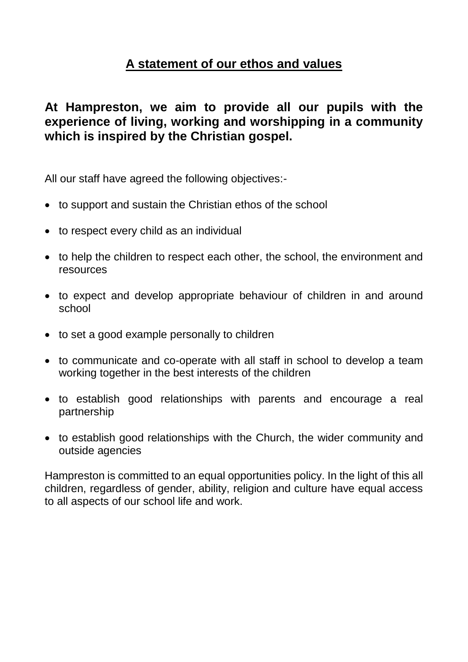### **A statement of our ethos and values**

**At Hampreston, we aim to provide all our pupils with the experience of living, working and worshipping in a community which is inspired by the Christian gospel.**

All our staff have agreed the following objectives:-

- to support and sustain the Christian ethos of the school
- to respect every child as an individual
- to help the children to respect each other, the school, the environment and resources
- to expect and develop appropriate behaviour of children in and around school
- to set a good example personally to children
- to communicate and co-operate with all staff in school to develop a team working together in the best interests of the children
- to establish good relationships with parents and encourage a real partnership
- to establish good relationships with the Church, the wider community and outside agencies

Hampreston is committed to an equal opportunities policy. In the light of this all children, regardless of gender, ability, religion and culture have equal access to all aspects of our school life and work.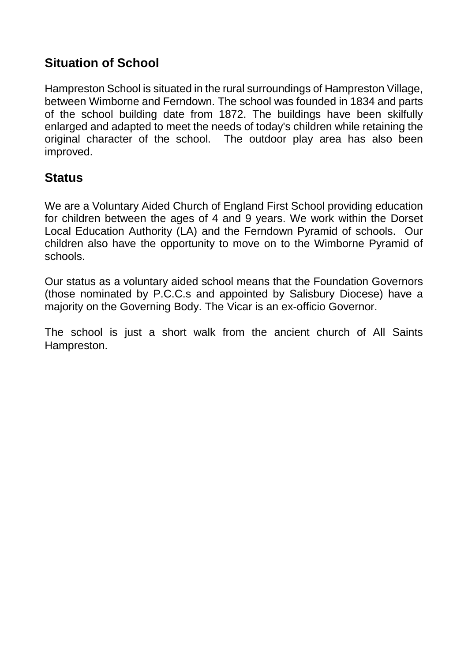### **Situation of School**

Hampreston School is situated in the rural surroundings of Hampreston Village, between Wimborne and Ferndown. The school was founded in 1834 and parts of the school building date from 1872. The buildings have been skilfully enlarged and adapted to meet the needs of today's children while retaining the original character of the school. The outdoor play area has also been improved.

#### **Status**

We are a Voluntary Aided Church of England First School providing education for children between the ages of 4 and 9 years. We work within the Dorset Local Education Authority (LA) and the Ferndown Pyramid of schools. Our children also have the opportunity to move on to the Wimborne Pyramid of schools.

Our status as a voluntary aided school means that the Foundation Governors (those nominated by P.C.C.s and appointed by Salisbury Diocese) have a majority on the Governing Body. The Vicar is an ex-officio Governor.

The school is just a short walk from the ancient church of All Saints Hampreston.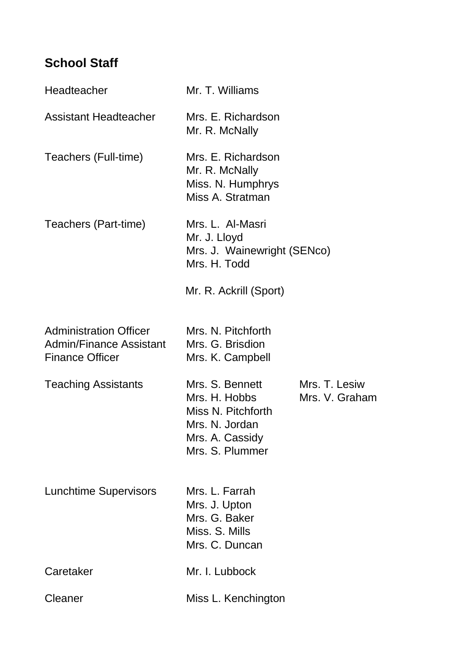# **School Staff**

| Headteacher                                                                               | Mr. T. Williams                                                                                                |                                 |
|-------------------------------------------------------------------------------------------|----------------------------------------------------------------------------------------------------------------|---------------------------------|
| <b>Assistant Headteacher</b>                                                              | Mrs. E. Richardson<br>Mr. R. McNally                                                                           |                                 |
| Teachers (Full-time)                                                                      | Mrs. E. Richardson<br>Mr. R. McNally<br>Miss. N. Humphrys<br>Miss A. Stratman                                  |                                 |
| Teachers (Part-time)                                                                      | Mrs. L. Al-Masri<br>Mr. J. Lloyd<br>Mrs. J. Wainewright (SENco)<br>Mrs. H. Todd                                |                                 |
|                                                                                           | Mr. R. Ackrill (Sport)                                                                                         |                                 |
| <b>Administration Officer</b><br><b>Admin/Finance Assistant</b><br><b>Finance Officer</b> | Mrs. N. Pitchforth<br>Mrs. G. Brisdion<br>Mrs. K. Campbell                                                     |                                 |
| <b>Teaching Assistants</b>                                                                | Mrs. S. Bennett<br>Mrs. H. Hobbs<br>Miss N. Pitchforth<br>Mrs. N. Jordan<br>Mrs. A. Cassidy<br>Mrs. S. Plummer | Mrs. T. Lesiw<br>Mrs. V. Graham |
| <b>Lunchtime Supervisors</b>                                                              | Mrs. L. Farrah<br>Mrs. J. Upton<br>Mrs. G. Baker<br>Miss. S. Mills<br>Mrs. C. Duncan                           |                                 |
| Caretaker                                                                                 | Mr. I. Lubbock                                                                                                 |                                 |
| Cleaner                                                                                   | Miss L. Kenchington                                                                                            |                                 |
|                                                                                           |                                                                                                                |                                 |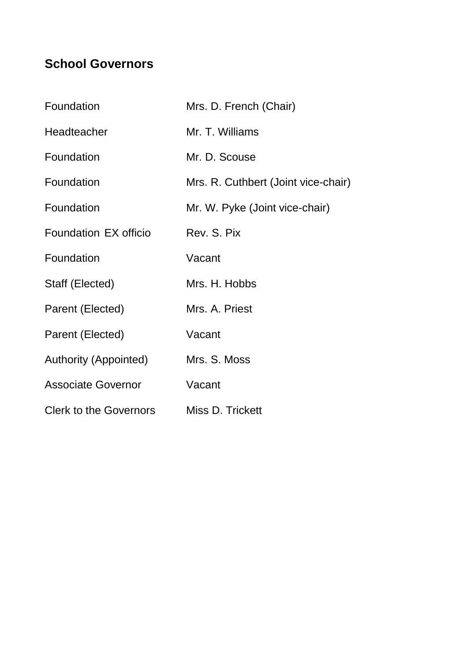# **School Governors**

| Foundation                    | Mrs. D. French (Chair)              |
|-------------------------------|-------------------------------------|
| Headteacher                   | Mr. T. Williams                     |
| Foundation                    | Mr. D. Scouse                       |
| Foundation                    | Mrs. R. Cuthbert (Joint vice-chair) |
| Foundation                    | Mr. W. Pyke (Joint vice-chair)      |
| Foundation EX officio         | Rev. S. Pix                         |
| Foundation                    | Vacant                              |
| Staff (Elected)               | Mrs. H. Hobbs                       |
| Parent (Elected)              | Mrs. A. Priest                      |
| Parent (Elected)              | Vacant                              |
| Authority (Appointed)         | Mrs. S. Moss                        |
| <b>Associate Governor</b>     | Vacant                              |
| <b>Clerk to the Governors</b> | Miss D. Trickett                    |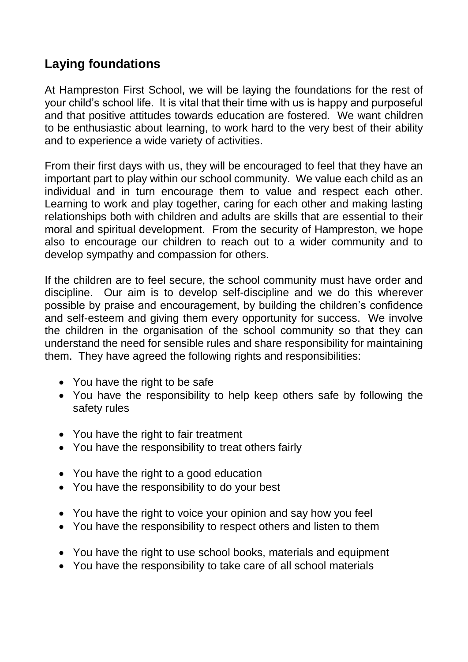### **Laying foundations**

At Hampreston First School, we will be laying the foundations for the rest of your child's school life. It is vital that their time with us is happy and purposeful and that positive attitudes towards education are fostered. We want children to be enthusiastic about learning, to work hard to the very best of their ability and to experience a wide variety of activities.

From their first days with us, they will be encouraged to feel that they have an important part to play within our school community. We value each child as an individual and in turn encourage them to value and respect each other. Learning to work and play together, caring for each other and making lasting relationships both with children and adults are skills that are essential to their moral and spiritual development. From the security of Hampreston, we hope also to encourage our children to reach out to a wider community and to develop sympathy and compassion for others.

If the children are to feel secure, the school community must have order and discipline. Our aim is to develop self-discipline and we do this wherever possible by praise and encouragement, by building the children's confidence and self-esteem and giving them every opportunity for success. We involve the children in the organisation of the school community so that they can understand the need for sensible rules and share responsibility for maintaining them. They have agreed the following rights and responsibilities:

- You have the right to be safe
- You have the responsibility to help keep others safe by following the safety rules
- You have the right to fair treatment
- You have the responsibility to treat others fairly
- You have the right to a good education
- You have the responsibility to do your best
- You have the right to voice your opinion and say how you feel
- You have the responsibility to respect others and listen to them
- You have the right to use school books, materials and equipment
- You have the responsibility to take care of all school materials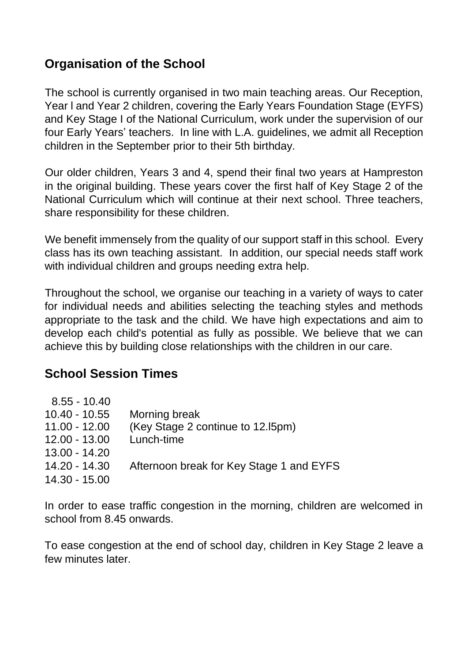### **Organisation of the School**

The school is currently organised in two main teaching areas. Our Reception, Year l and Year 2 children, covering the Early Years Foundation Stage (EYFS) and Key Stage I of the National Curriculum, work under the supervision of our four Early Years' teachers. In line with L.A. guidelines, we admit all Reception children in the September prior to their 5th birthday.

Our older children, Years 3 and 4, spend their final two years at Hampreston in the original building. These years cover the first half of Key Stage 2 of the National Curriculum which will continue at their next school. Three teachers, share responsibility for these children.

We benefit immensely from the quality of our support staff in this school. Every class has its own teaching assistant. In addition, our special needs staff work with individual children and groups needing extra help.

Throughout the school, we organise our teaching in a variety of ways to cater for individual needs and abilities selecting the teaching styles and methods appropriate to the task and the child. We have high expectations and aim to develop each child's potential as fully as possible. We believe that we can achieve this by building close relationships with the children in our care.

### **School Session Times**

| $8.55 - 10.40$  |                                          |
|-----------------|------------------------------------------|
| $10.40 - 10.55$ | Morning break                            |
| $11.00 - 12.00$ | (Key Stage 2 continue to 12.15pm)        |
| $12.00 - 13.00$ | Lunch-time                               |
| $13.00 - 14.20$ |                                          |
| $14.20 - 14.30$ | Afternoon break for Key Stage 1 and EYFS |
| $14.30 - 15.00$ |                                          |
|                 |                                          |

In order to ease traffic congestion in the morning, children are welcomed in school from 8.45 onwards.

To ease congestion at the end of school day, children in Key Stage 2 leave a few minutes later.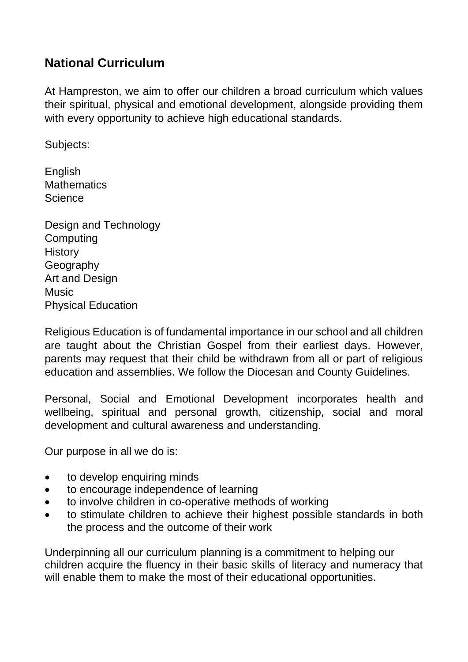### **National Curriculum**

At Hampreston, we aim to offer our children a broad curriculum which values their spiritual, physical and emotional development, alongside providing them with every opportunity to achieve high educational standards.

Subjects:

English **Mathematics Science** 

Design and Technology **Computing History** Geography Art and Design **Music** Physical Education

Religious Education is of fundamental importance in our school and all children are taught about the Christian Gospel from their earliest days. However, parents may request that their child be withdrawn from all or part of religious education and assemblies. We follow the Diocesan and County Guidelines.

Personal, Social and Emotional Development incorporates health and wellbeing, spiritual and personal growth, citizenship, social and moral development and cultural awareness and understanding.

Our purpose in all we do is:

- to develop enquiring minds
- to encourage independence of learning
- to involve children in co-operative methods of working
- to stimulate children to achieve their highest possible standards in both the process and the outcome of their work

Underpinning all our curriculum planning is a commitment to helping our children acquire the fluency in their basic skills of literacy and numeracy that will enable them to make the most of their educational opportunities.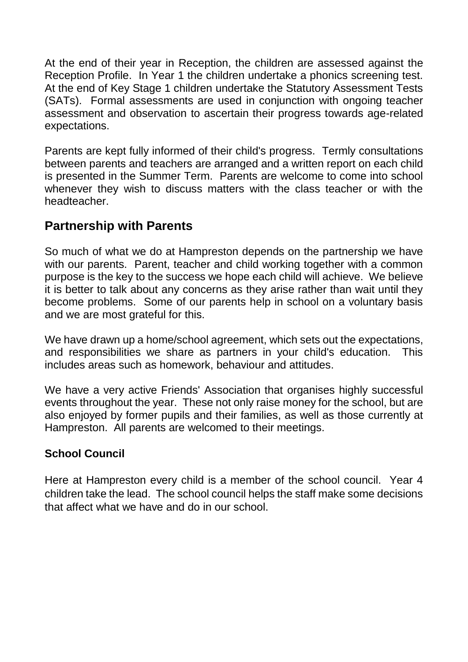At the end of their year in Reception, the children are assessed against the Reception Profile. In Year 1 the children undertake a phonics screening test. At the end of Key Stage 1 children undertake the Statutory Assessment Tests (SATs). Formal assessments are used in conjunction with ongoing teacher assessment and observation to ascertain their progress towards age-related expectations.

Parents are kept fully informed of their child's progress. Termly consultations between parents and teachers are arranged and a written report on each child is presented in the Summer Term. Parents are welcome to come into school whenever they wish to discuss matters with the class teacher or with the headteacher.

### **Partnership with Parents**

So much of what we do at Hampreston depends on the partnership we have with our parents. Parent, teacher and child working together with a common purpose is the key to the success we hope each child will achieve. We believe it is better to talk about any concerns as they arise rather than wait until they become problems. Some of our parents help in school on a voluntary basis and we are most grateful for this.

We have drawn up a home/school agreement, which sets out the expectations, and responsibilities we share as partners in your child's education. This includes areas such as homework, behaviour and attitudes.

We have a very active Friends' Association that organises highly successful events throughout the year. These not only raise money for the school, but are also enjoyed by former pupils and their families, as well as those currently at Hampreston. All parents are welcomed to their meetings.

#### **School Council**

Here at Hampreston every child is a member of the school council. Year 4 children take the lead. The school council helps the staff make some decisions that affect what we have and do in our school.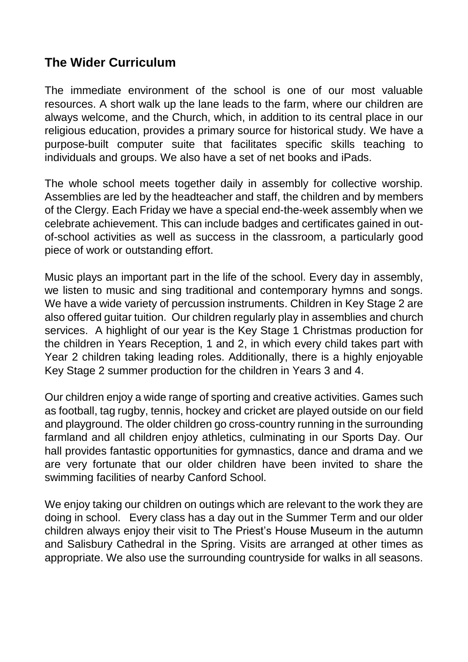#### **The Wider Curriculum**

The immediate environment of the school is one of our most valuable resources. A short walk up the lane leads to the farm, where our children are always welcome, and the Church, which, in addition to its central place in our religious education, provides a primary source for historical study. We have a purpose-built computer suite that facilitates specific skills teaching to individuals and groups. We also have a set of net books and iPads.

The whole school meets together daily in assembly for collective worship. Assemblies are led by the headteacher and staff, the children and by members of the Clergy. Each Friday we have a special end-the-week assembly when we celebrate achievement. This can include badges and certificates gained in outof-school activities as well as success in the classroom, a particularly good piece of work or outstanding effort.

Music plays an important part in the life of the school. Every day in assembly, we listen to music and sing traditional and contemporary hymns and songs. We have a wide variety of percussion instruments. Children in Key Stage 2 are also offered guitar tuition. Our children regularly play in assemblies and church services. A highlight of our year is the Key Stage 1 Christmas production for the children in Years Reception, 1 and 2, in which every child takes part with Year 2 children taking leading roles. Additionally, there is a highly enjoyable Key Stage 2 summer production for the children in Years 3 and 4.

Our children enjoy a wide range of sporting and creative activities. Games such as football, tag rugby, tennis, hockey and cricket are played outside on our field and playground. The older children go cross-country running in the surrounding farmland and all children enjoy athletics, culminating in our Sports Day. Our hall provides fantastic opportunities for gymnastics, dance and drama and we are very fortunate that our older children have been invited to share the swimming facilities of nearby Canford School.

We enjoy taking our children on outings which are relevant to the work they are doing in school. Every class has a day out in the Summer Term and our older children always enjoy their visit to The Priest's House Museum in the autumn and Salisbury Cathedral in the Spring. Visits are arranged at other times as appropriate. We also use the surrounding countryside for walks in all seasons.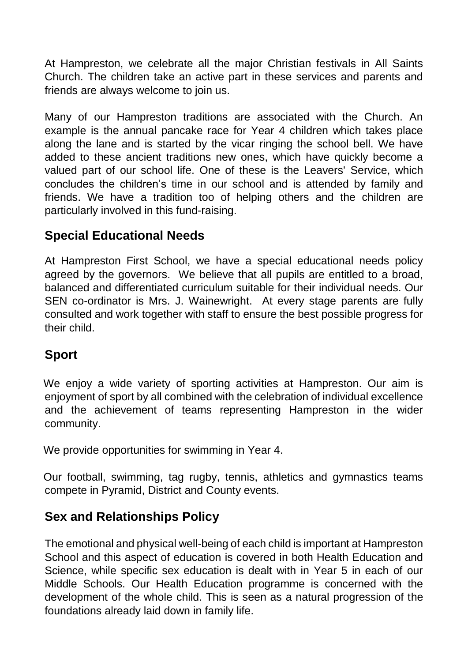At Hampreston, we celebrate all the major Christian festivals in All Saints Church. The children take an active part in these services and parents and friends are always welcome to join us.

Many of our Hampreston traditions are associated with the Church. An example is the annual pancake race for Year 4 children which takes place along the lane and is started by the vicar ringing the school bell. We have added to these ancient traditions new ones, which have quickly become a valued part of our school life. One of these is the Leavers' Service, which concludes the children's time in our school and is attended by family and friends. We have a tradition too of helping others and the children are particularly involved in this fund-raising.

### **Special Educational Needs**

At Hampreston First School, we have a special educational needs policy agreed by the governors. We believe that all pupils are entitled to a broad, balanced and differentiated curriculum suitable for their individual needs. Our SEN co-ordinator is Mrs. J. Wainewright. At every stage parents are fully consulted and work together with staff to ensure the best possible progress for their child.

## **Sport**

We enjoy a wide variety of sporting activities at Hampreston. Our aim is enjoyment of sport by all combined with the celebration of individual excellence and the achievement of teams representing Hampreston in the wider community.

We provide opportunities for swimming in Year 4.

Our football, swimming, tag rugby, tennis, athletics and gymnastics teams compete in Pyramid, District and County events.

## **Sex and Relationships Policy**

The emotional and physical well-being of each child is important at Hampreston School and this aspect of education is covered in both Health Education and Science, while specific sex education is dealt with in Year 5 in each of our Middle Schools. Our Health Education programme is concerned with the development of the whole child. This is seen as a natural progression of the foundations already laid down in family life.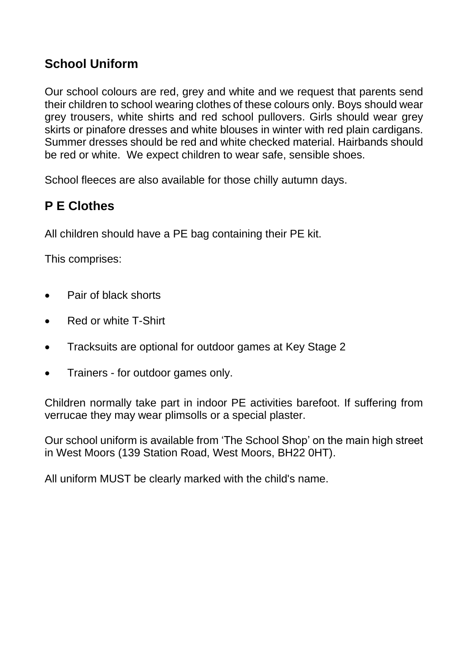### **School Uniform**

Our school colours are red, grey and white and we request that parents send their children to school wearing clothes of these colours only. Boys should wear grey trousers, white shirts and red school pullovers. Girls should wear grey skirts or pinafore dresses and white blouses in winter with red plain cardigans. Summer dresses should be red and white checked material. Hairbands should be red or white. We expect children to wear safe, sensible shoes.

School fleeces are also available for those chilly autumn days.

### **P E Clothes**

All children should have a PE bag containing their PE kit.

This comprises:

- Pair of black shorts
- Red or white T-Shirt
- Tracksuits are optional for outdoor games at Key Stage 2
- Trainers for outdoor games only.

Children normally take part in indoor PE activities barefoot. If suffering from verrucae they may wear plimsolls or a special plaster.

Our school uniform is available from 'The School Shop' on the main high street in West Moors (139 Station Road, West Moors, BH22 0HT).

All uniform MUST be clearly marked with the child's name.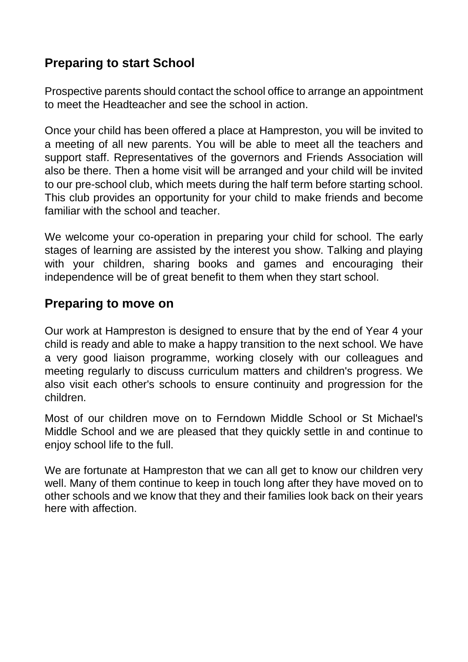## **Preparing to start School**

Prospective parents should contact the school office to arrange an appointment to meet the Headteacher and see the school in action.

Once your child has been offered a place at Hampreston, you will be invited to a meeting of all new parents. You will be able to meet all the teachers and support staff. Representatives of the governors and Friends Association will also be there. Then a home visit will be arranged and your child will be invited to our pre-school club, which meets during the half term before starting school. This club provides an opportunity for your child to make friends and become familiar with the school and teacher.

We welcome your co-operation in preparing your child for school. The early stages of learning are assisted by the interest you show. Talking and playing with your children, sharing books and games and encouraging their independence will be of great benefit to them when they start school.

#### **Preparing to move on**

Our work at Hampreston is designed to ensure that by the end of Year 4 your child is ready and able to make a happy transition to the next school. We have a very good liaison programme, working closely with our colleagues and meeting regularly to discuss curriculum matters and children's progress. We also visit each other's schools to ensure continuity and progression for the children.

Most of our children move on to Ferndown Middle School or St Michael's Middle School and we are pleased that they quickly settle in and continue to enjoy school life to the full.

We are fortunate at Hampreston that we can all get to know our children very well. Many of them continue to keep in touch long after they have moved on to other schools and we know that they and their families look back on their years here with affection.